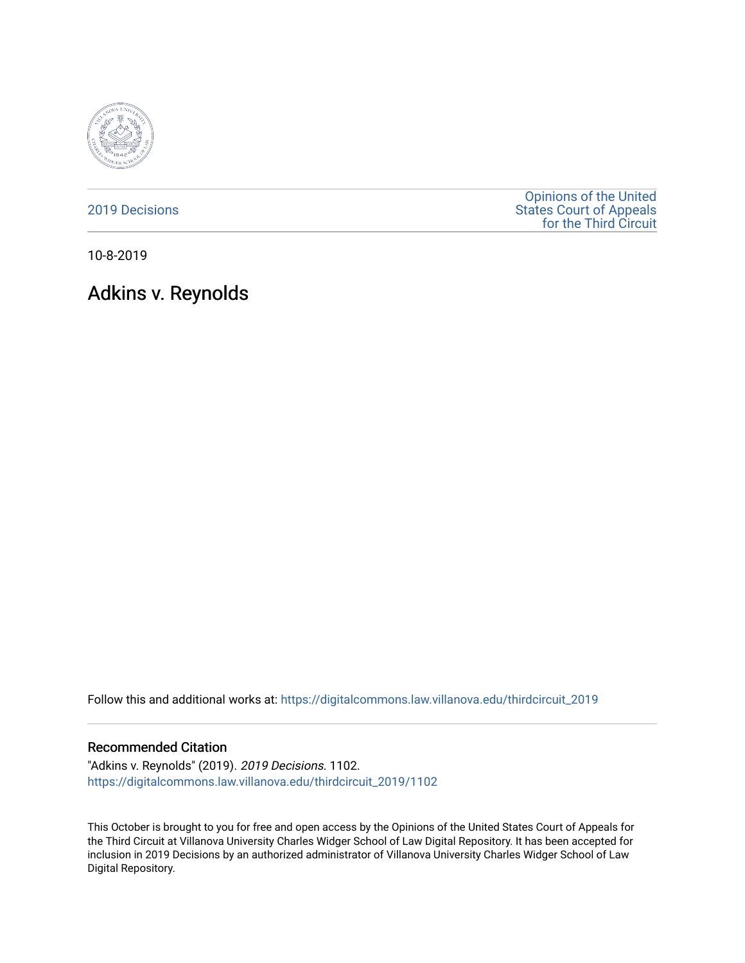

[2019 Decisions](https://digitalcommons.law.villanova.edu/thirdcircuit_2019)

[Opinions of the United](https://digitalcommons.law.villanova.edu/thirdcircuit)  [States Court of Appeals](https://digitalcommons.law.villanova.edu/thirdcircuit)  [for the Third Circuit](https://digitalcommons.law.villanova.edu/thirdcircuit) 

10-8-2019

# Adkins v. Reynolds

Follow this and additional works at: [https://digitalcommons.law.villanova.edu/thirdcircuit\\_2019](https://digitalcommons.law.villanova.edu/thirdcircuit_2019?utm_source=digitalcommons.law.villanova.edu%2Fthirdcircuit_2019%2F1102&utm_medium=PDF&utm_campaign=PDFCoverPages) 

#### Recommended Citation

"Adkins v. Reynolds" (2019). 2019 Decisions. 1102. [https://digitalcommons.law.villanova.edu/thirdcircuit\\_2019/1102](https://digitalcommons.law.villanova.edu/thirdcircuit_2019/1102?utm_source=digitalcommons.law.villanova.edu%2Fthirdcircuit_2019%2F1102&utm_medium=PDF&utm_campaign=PDFCoverPages) 

This October is brought to you for free and open access by the Opinions of the United States Court of Appeals for the Third Circuit at Villanova University Charles Widger School of Law Digital Repository. It has been accepted for inclusion in 2019 Decisions by an authorized administrator of Villanova University Charles Widger School of Law Digital Repository.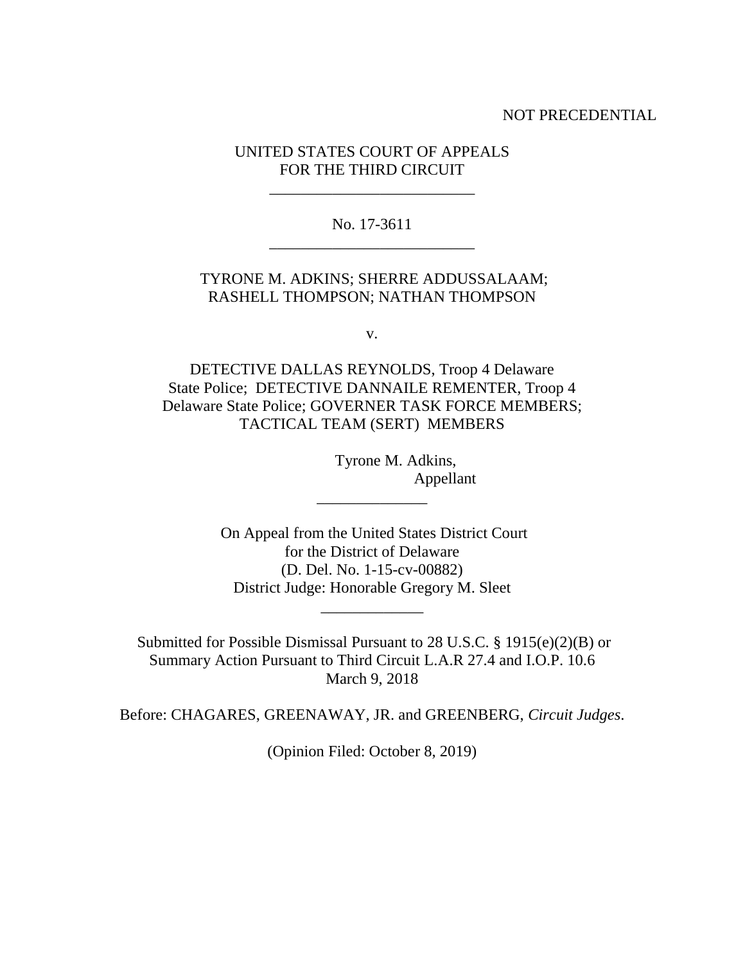#### NOT PRECEDENTIAL

## UNITED STATES COURT OF APPEALS FOR THE THIRD CIRCUIT

\_\_\_\_\_\_\_\_\_\_\_\_\_\_\_\_\_\_\_\_\_\_\_\_\_\_

No. 17-3611 \_\_\_\_\_\_\_\_\_\_\_\_\_\_\_\_\_\_\_\_\_\_\_\_\_\_

## TYRONE M. ADKINS; SHERRE ADDUSSALAAM; RASHELL THOMPSON; NATHAN THOMPSON

v.

DETECTIVE DALLAS REYNOLDS, Troop 4 Delaware State Police; DETECTIVE DANNAILE REMENTER, Troop 4 Delaware State Police; GOVERNER TASK FORCE MEMBERS; TACTICAL TEAM (SERT) MEMBERS

> Tyrone M. Adkins, Appellant

On Appeal from the United States District Court for the District of Delaware (D. Del. No. 1-15-cv-00882) District Judge: Honorable Gregory M. Sleet

\_\_\_\_\_\_\_\_\_\_\_\_\_

\_\_\_\_\_\_\_\_\_\_\_\_\_\_

Submitted for Possible Dismissal Pursuant to 28 U.S.C. § 1915(e)(2)(B) or Summary Action Pursuant to Third Circuit L.A.R 27.4 and I.O.P. 10.6 March 9, 2018

Before: CHAGARES, GREENAWAY, JR. and GREENBERG, *Circuit Judges*.

(Opinion Filed: October 8, 2019)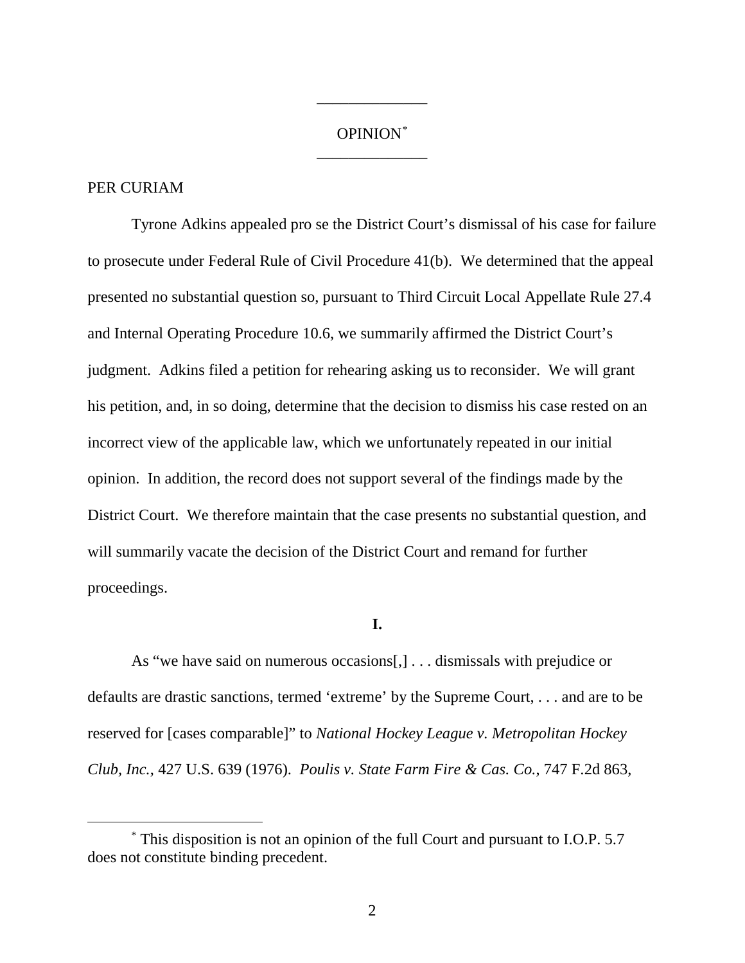# OPINION[\\*](#page-2-0) \_\_\_\_\_\_\_\_\_\_\_\_\_\_

\_\_\_\_\_\_\_\_\_\_\_\_\_\_

## PER CURIAM

Tyrone Adkins appealed pro se the District Court's dismissal of his case for failure to prosecute under Federal Rule of Civil Procedure 41(b). We determined that the appeal presented no substantial question so, pursuant to Third Circuit Local Appellate Rule 27.4 and Internal Operating Procedure 10.6, we summarily affirmed the District Court's judgment. Adkins filed a petition for rehearing asking us to reconsider. We will grant his petition, and, in so doing, determine that the decision to dismiss his case rested on an incorrect view of the applicable law, which we unfortunately repeated in our initial opinion. In addition, the record does not support several of the findings made by the District Court. We therefore maintain that the case presents no substantial question, and will summarily vacate the decision of the District Court and remand for further proceedings.

#### **I.**

As "we have said on numerous occasions[,] . . . dismissals with prejudice or defaults are drastic sanctions, termed 'extreme' by the Supreme Court, . . . and are to be reserved for [cases comparable]" to *National Hockey League v. Metropolitan Hockey Club, Inc.*, 427 U.S. 639 (1976). *Poulis v. State Farm Fire & Cas. Co.*, 747 F.2d 863,

<span id="page-2-0"></span> <sup>\*</sup> This disposition is not an opinion of the full Court and pursuant to I.O.P. 5.7 does not constitute binding precedent.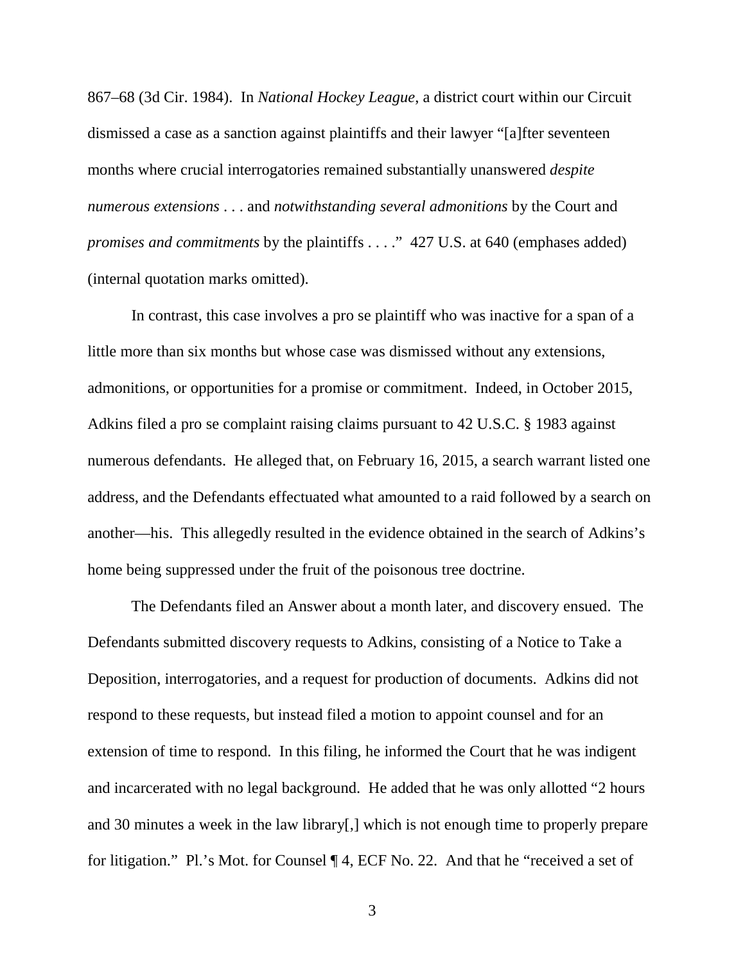867–68 (3d Cir. 1984). In *National Hockey League*, a district court within our Circuit dismissed a case as a sanction against plaintiffs and their lawyer "[a]fter seventeen months where crucial interrogatories remained substantially unanswered *despite numerous extensions* . . . and *notwithstanding several admonitions* by the Court and *promises and commitments* by the plaintiffs . . . ." 427 U.S. at 640 (emphases added) (internal quotation marks omitted).

In contrast, this case involves a pro se plaintiff who was inactive for a span of a little more than six months but whose case was dismissed without any extensions, admonitions, or opportunities for a promise or commitment. Indeed, in October 2015, Adkins filed a pro se complaint raising claims pursuant to 42 U.S.C. § 1983 against numerous defendants. He alleged that, on February 16, 2015, a search warrant listed one address, and the Defendants effectuated what amounted to a raid followed by a search on another—his. This allegedly resulted in the evidence obtained in the search of Adkins's home being suppressed under the fruit of the poisonous tree doctrine.

The Defendants filed an Answer about a month later, and discovery ensued. The Defendants submitted discovery requests to Adkins, consisting of a Notice to Take a Deposition, interrogatories, and a request for production of documents. Adkins did not respond to these requests, but instead filed a motion to appoint counsel and for an extension of time to respond. In this filing, he informed the Court that he was indigent and incarcerated with no legal background. He added that he was only allotted "2 hours and 30 minutes a week in the law library[,] which is not enough time to properly prepare for litigation." Pl.'s Mot. for Counsel ¶ 4, ECF No. 22. And that he "received a set of

3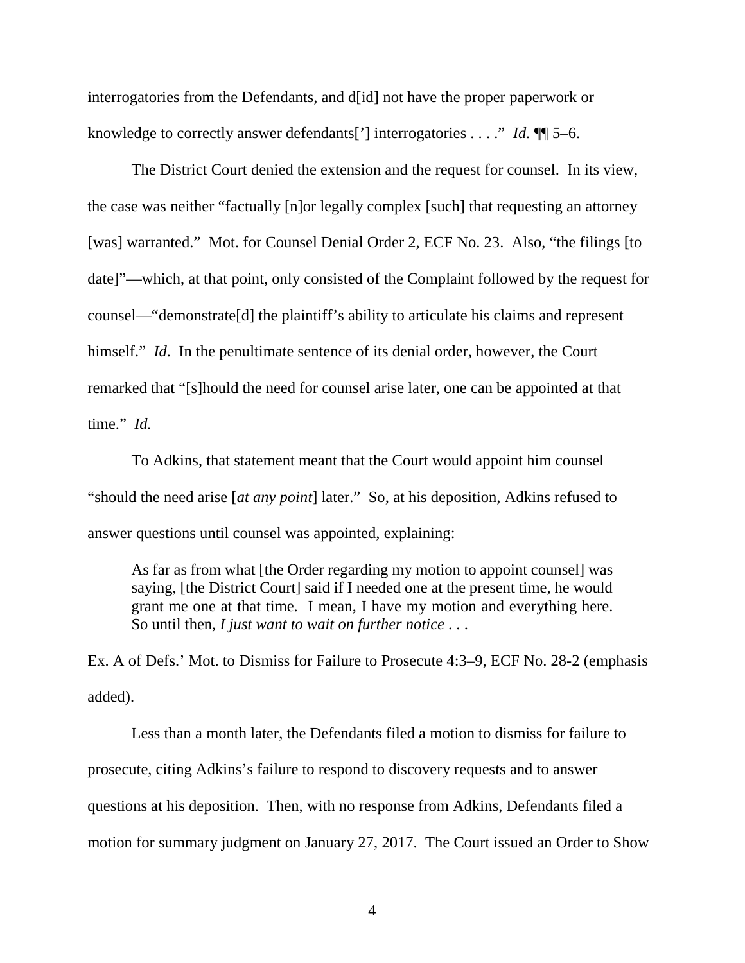interrogatories from the Defendants, and d[id] not have the proper paperwork or knowledge to correctly answer defendants['] interrogatories . . . ." *Id.* ¶¶ 5–6.

The District Court denied the extension and the request for counsel. In its view, the case was neither "factually [n]or legally complex [such] that requesting an attorney [was] warranted." Mot. for Counsel Denial Order 2, ECF No. 23. Also, "the filings [to date]"—which, at that point, only consisted of the Complaint followed by the request for counsel—"demonstrate[d] the plaintiff's ability to articulate his claims and represent himself." *Id*. In the penultimate sentence of its denial order, however, the Court remarked that "[s]hould the need for counsel arise later, one can be appointed at that time." *Id.*

To Adkins, that statement meant that the Court would appoint him counsel "should the need arise [*at any point*] later." So, at his deposition, Adkins refused to answer questions until counsel was appointed, explaining:

As far as from what [the Order regarding my motion to appoint counsel] was saying, [the District Court] said if I needed one at the present time, he would grant me one at that time. I mean, I have my motion and everything here. So until then, *I just want to wait on further notice* . . .

Ex. A of Defs.' Mot. to Dismiss for Failure to Prosecute 4:3–9, ECF No. 28-2 (emphasis added).

Less than a month later, the Defendants filed a motion to dismiss for failure to prosecute, citing Adkins's failure to respond to discovery requests and to answer questions at his deposition. Then, with no response from Adkins, Defendants filed a motion for summary judgment on January 27, 2017.The Court issued an Order to Show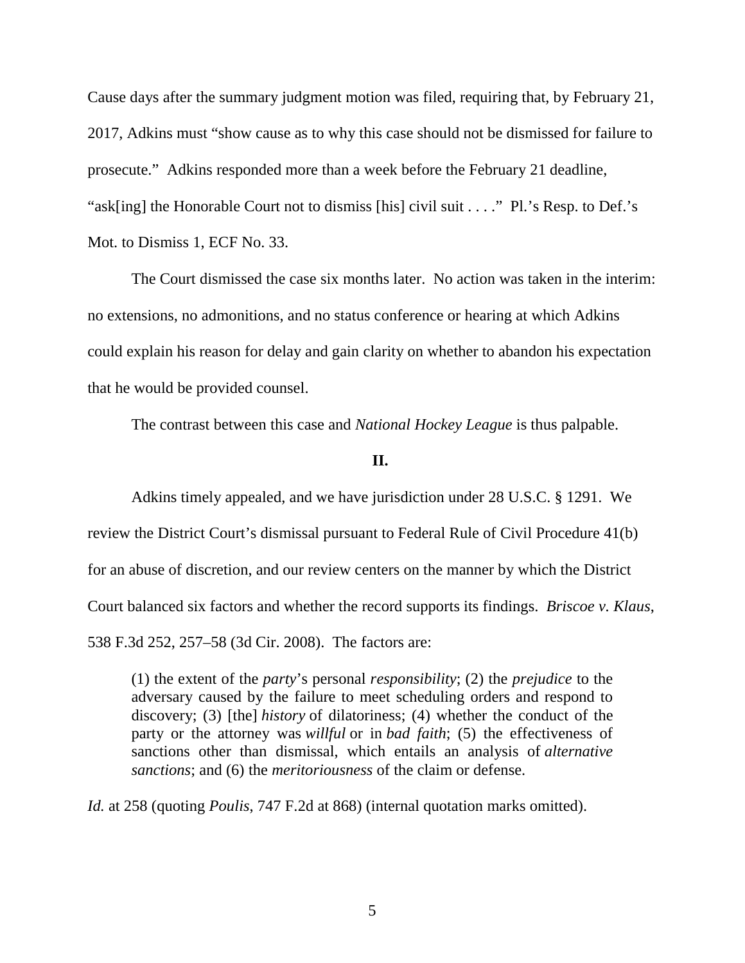Cause days after the summary judgment motion was filed, requiring that, by February 21, 2017, Adkins must "show cause as to why this case should not be dismissed for failure to prosecute." Adkins responded more than a week before the February 21 deadline, "ask[ing] the Honorable Court not to dismiss [his] civil suit . . . ." Pl.'s Resp. to Def.'s Mot. to Dismiss 1, ECF No. 33.

The Court dismissed the case six months later. No action was taken in the interim: no extensions, no admonitions, and no status conference or hearing at which Adkins could explain his reason for delay and gain clarity on whether to abandon his expectation that he would be provided counsel.

The contrast between this case and *National Hockey League* is thus palpable.

#### **II.**

Adkins timely appealed, and we have jurisdiction under 28 U.S.C. § 1291. We review the District Court's dismissal pursuant to Federal Rule of Civil Procedure 41(b) for an abuse of discretion, and our review centers on the manner by which the District Court balanced six factors and whether the record supports its findings. *Briscoe v. Klaus*, 538 F.3d 252, 257–58 (3d Cir. 2008). The factors are:

(1) the extent of the *party*'s personal *responsibility*; (2) the *prejudice* to the adversary caused by the failure to meet scheduling orders and respond to discovery; (3) [the] *history* of dilatoriness; (4) whether the conduct of the party or the attorney was *willful* or in *bad faith*; (5) the effectiveness of sanctions other than dismissal, which entails an analysis of *alternative sanctions*; and (6) the *meritoriousness* of the claim or defense.

*Id.* at 258 (quoting *Poulis*, 747 F.2d at 868) (internal quotation marks omitted).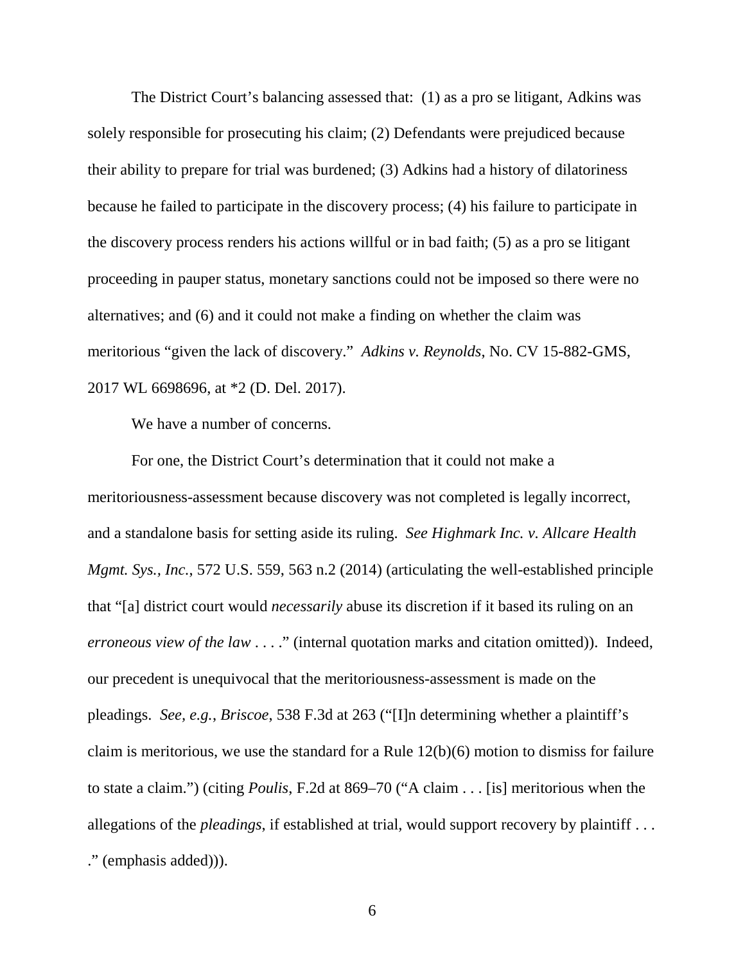The District Court's balancing assessed that: (1) as a pro se litigant, Adkins was solely responsible for prosecuting his claim; (2) Defendants were prejudiced because their ability to prepare for trial was burdened; (3) Adkins had a history of dilatoriness because he failed to participate in the discovery process; (4) his failure to participate in the discovery process renders his actions willful or in bad faith; (5) as a pro se litigant proceeding in pauper status, monetary sanctions could not be imposed so there were no alternatives; and (6) and it could not make a finding on whether the claim was meritorious "given the lack of discovery." *Adkins v. Reynolds*, No. CV 15-882-GMS, 2017 WL 6698696, at \*2 (D. Del. 2017).

We have a number of concerns.

For one, the District Court's determination that it could not make a meritoriousness-assessment because discovery was not completed is legally incorrect, and a standalone basis for setting aside its ruling. *See Highmark Inc. v. Allcare Health Mgmt. Sys., Inc.*, 572 U.S. 559, 563 n.2 (2014) (articulating the well-established principle that "[a] district court would *necessarily* abuse its discretion if it based its ruling on an *erroneous view of the law* . . . ." (internal quotation marks and citation omitted)). Indeed, our precedent is unequivocal that the meritoriousness-assessment is made on the pleadings. *See, e.g.*, *Briscoe*, 538 F.3d at 263 ("[I]n determining whether a plaintiff's claim is meritorious, we use the standard for a Rule 12(b)(6) motion to dismiss for failure to state a claim.") (citing *Poulis*, F.2d at 869–70 ("A claim . . . [is] meritorious when the allegations of the *pleadings*, if established at trial, would support recovery by plaintiff . . . ." (emphasis added))).

6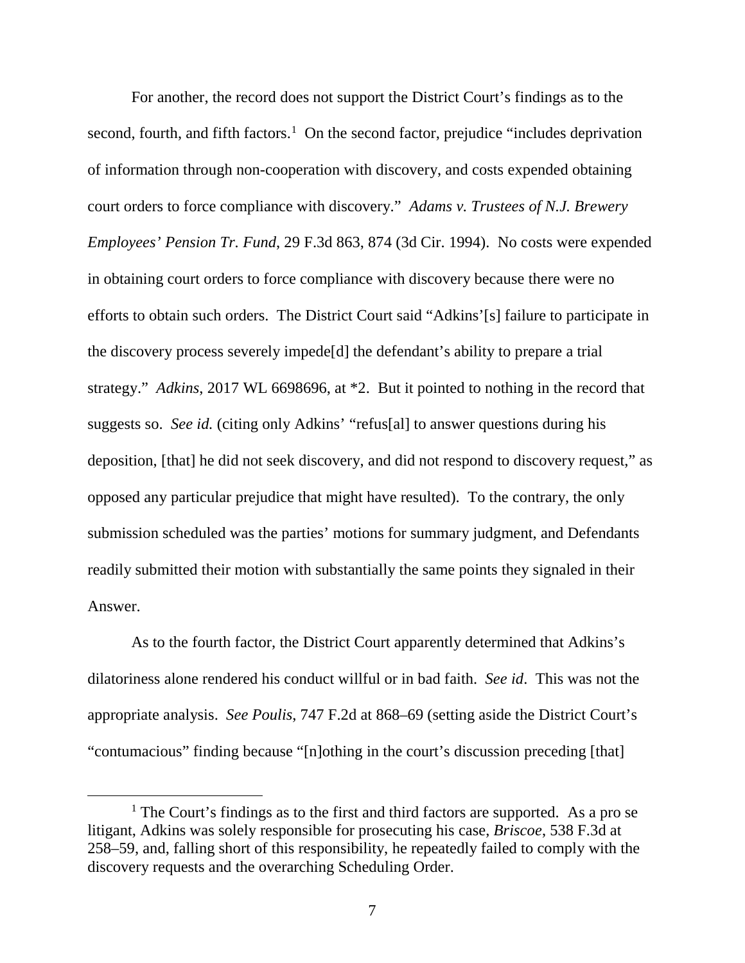For another, the record does not support the District Court's findings as to the second, fourth, and fifth factors.<sup>[1](#page-7-0)</sup> On the second factor, prejudice "includes deprivation of information through non-cooperation with discovery, and costs expended obtaining court orders to force compliance with discovery." *Adams v. Trustees of N.J. Brewery Employees' Pension Tr. Fund*, 29 F.3d 863, 874 (3d Cir. 1994). No costs were expended in obtaining court orders to force compliance with discovery because there were no efforts to obtain such orders. The District Court said "Adkins'[s] failure to participate in the discovery process severely impede[d] the defendant's ability to prepare a trial strategy." *Adkins*, 2017 WL 6698696, at \*2. But it pointed to nothing in the record that suggests so. *See id.* (citing only Adkins' "refus[al] to answer questions during his deposition, [that] he did not seek discovery, and did not respond to discovery request," as opposed any particular prejudice that might have resulted). To the contrary, the only submission scheduled was the parties' motions for summary judgment, and Defendants readily submitted their motion with substantially the same points they signaled in their Answer.

As to the fourth factor, the District Court apparently determined that Adkins's dilatoriness alone rendered his conduct willful or in bad faith. *See id*. This was not the appropriate analysis. *See Poulis*, 747 F.2d at 868–69 (setting aside the District Court's "contumacious" finding because "[n]othing in the court's discussion preceding [that]

<span id="page-7-0"></span> $<sup>1</sup>$  The Court's findings as to the first and third factors are supported. As a pro se</sup> litigant, Adkins was solely responsible for prosecuting his case, *Briscoe*, 538 F.3d at 258–59, and, falling short of this responsibility, he repeatedly failed to comply with the discovery requests and the overarching Scheduling Order.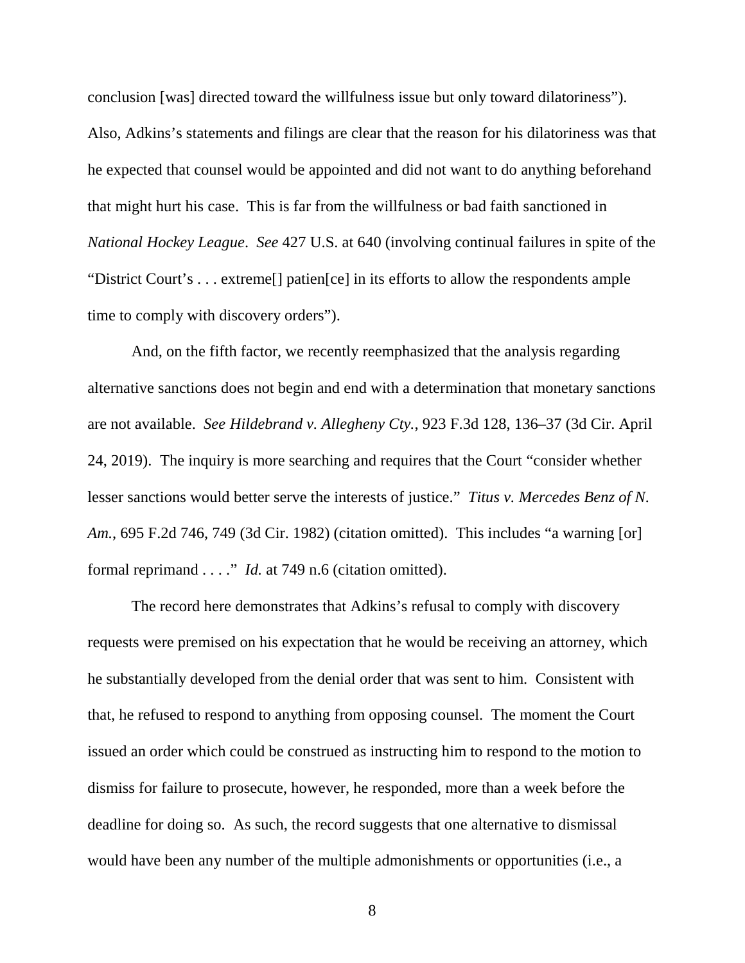conclusion [was] directed toward the willfulness issue but only toward dilatoriness"). Also, Adkins's statements and filings are clear that the reason for his dilatoriness was that he expected that counsel would be appointed and did not want to do anything beforehand that might hurt his case. This is far from the willfulness or bad faith sanctioned in *National Hockey League*. *See* 427 U.S. at 640 (involving continual failures in spite of the "District Court's . . . extreme[] patien[ce] in its efforts to allow the respondents ample time to comply with discovery orders").

And, on the fifth factor, we recently reemphasized that the analysis regarding alternative sanctions does not begin and end with a determination that monetary sanctions are not available. *See Hildebrand v. Allegheny Cty.*, 923 F.3d 128, 136–37 (3d Cir. April 24, 2019). The inquiry is more searching and requires that the Court "consider whether lesser sanctions would better serve the interests of justice." *Titus v. Mercedes Benz of N. Am.*, 695 F.2d 746, 749 (3d Cir. 1982) (citation omitted). This includes "a warning [or] formal reprimand . . . ." *Id.* at 749 n.6 (citation omitted).

The record here demonstrates that Adkins's refusal to comply with discovery requests were premised on his expectation that he would be receiving an attorney, which he substantially developed from the denial order that was sent to him. Consistent with that, he refused to respond to anything from opposing counsel. The moment the Court issued an order which could be construed as instructing him to respond to the motion to dismiss for failure to prosecute, however, he responded, more than a week before the deadline for doing so. As such, the record suggests that one alternative to dismissal would have been any number of the multiple admonishments or opportunities (i.e., a

8